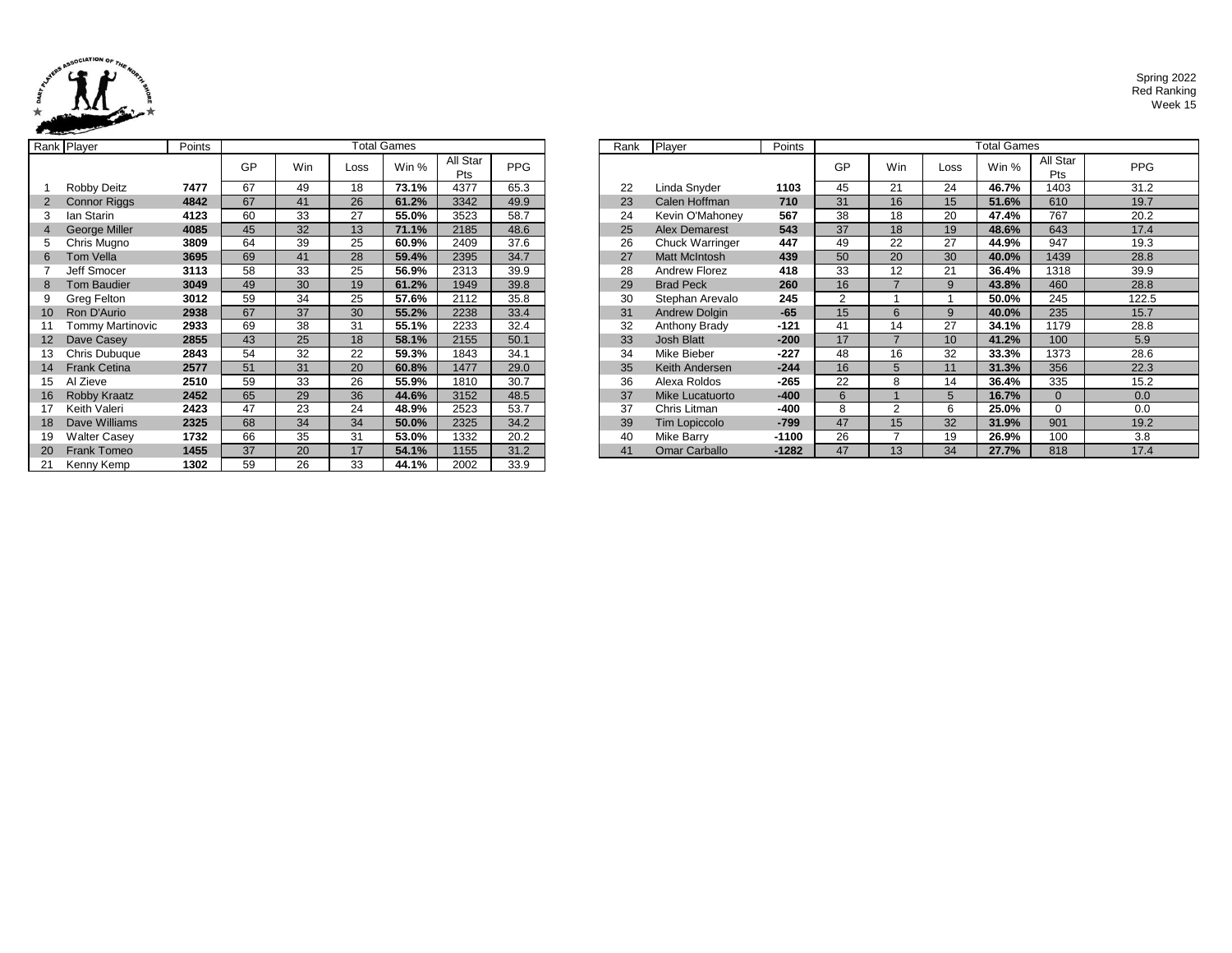

Spring 2022 Red Ranking Week 15

|    | Rank Player         | Points | <b>Total Games</b> |     |      |       |                 |            | Rank | Player               | Points  |                |
|----|---------------------|--------|--------------------|-----|------|-------|-----------------|------------|------|----------------------|---------|----------------|
|    |                     |        | GP                 | Win | Loss | Win % | All Star<br>Pts | <b>PPG</b> |      |                      |         | GF             |
|    | Robby Deitz         | 7477   | 67                 | 49  | 18   | 73.1% | 4377            | 65.3       | 22   | Linda Snyder         | 1103    | 45             |
|    | <b>Connor Riggs</b> | 4842   | 67                 | 41  | 26   | 61.2% | 3342            | 49.9       | 23   | Calen Hoffman        | 710     | 31             |
| 3  | lan Starin          | 4123   | 60                 | 33  | 27   | 55.0% | 3523            | 58.7       | 24   | Kevin O'Mahoney      | 567     | 38             |
| 4  | George Miller       | 4085   | 45                 | 32  | 13   | 71.1% | 2185            | 48.6       | 25   | <b>Alex Demarest</b> | 543     | 37             |
| 5  | Chris Mugno         | 3809   | 64                 | 39  | 25   | 60.9% | 2409            | 37.6       | 26   | Chuck Warringer      | 447     | 49             |
| 6  | <b>Tom Vella</b>    | 3695   | 69                 | 41  | 28   | 59.4% | 2395            | 34.7       | 27   | <b>Matt McIntosh</b> | 439     | 50             |
|    | Jeff Smocer         | 3113   | 58                 | 33  | 25   | 56.9% | 2313            | 39.9       | 28   | <b>Andrew Florez</b> | 418     | 33             |
| 8  | <b>Tom Baudier</b>  | 3049   | 49                 | 30  | 19   | 61.2% | 1949            | 39.8       | 29   | <b>Brad Peck</b>     | 260     | 16             |
| 9  | Greg Felton         | 3012   | 59                 | 34  | 25   | 57.6% | 2112            | 35.8       | 30   | Stephan Arevalo      | 245     | $\overline{2}$ |
| 10 | Ron D'Aurio         | 2938   | 67                 | 37  | 30   | 55.2% | 2238            | 33.4       | 31   | <b>Andrew Dolgin</b> | $-65$   | 15             |
| 11 | Tommy Martinovic    | 2933   | 69                 | 38  | 31   | 55.1% | 2233            | 32.4       | 32   | Anthony Brady        | $-121$  | 41             |
| 12 | Dave Casey          | 2855   | 43                 | 25  | 18   | 58.1% | 2155            | 50.1       | 33   | <b>Josh Blatt</b>    | $-200$  | 17             |
| 13 | Chris Dubuque       | 2843   | 54                 | 32  | 22   | 59.3% | 1843            | 34.1       | 34   | Mike Bieber          | $-227$  | 48             |
| 14 | <b>Frank Cetina</b> | 2577   | 51                 | 31  | 20   | 60.8% | 1477            | 29.0       | 35   | Keith Andersen       | $-244$  | 16             |
| 15 | Al Zieve            | 2510   | 59                 | 33  | 26   | 55.9% | 1810            | 30.7       | 36   | Alexa Roldos         | -265    | 22             |
| 16 | Robby Kraatz        | 2452   | 65                 | 29  | 36   | 44.6% | 3152            | 48.5       | 37   | Mike Lucatuorto      | $-400$  | 6              |
| 17 | Keith Valeri        | 2423   | 47                 | 23  | 24   | 48.9% | 2523            | 53.7       | 37   | Chris Litman         | -400    | 8              |
| 18 | Dave Williams       | 2325   | 68                 | 34  | 34   | 50.0% | 2325            | 34.2       | 39   | <b>Tim Lopiccolo</b> | $-799$  | 47             |
| 19 | <b>Walter Casey</b> | 1732   | 66                 | 35  | 31   | 53.0% | 1332            | 20.2       | 40   | Mike Barry           | $-1100$ | 26             |
| 20 | <b>Frank Tomeo</b>  | 1455   | 37                 | 20  | 17   | 54.1% | 1155            | 31.2       | 41   | <b>Omar Carballo</b> | $-1282$ | 47             |
| 21 | Kenny Kemp          | 1302   | 59                 | 26  | 33   | 44.1% | 2002            | 33.9       |      |                      |         |                |

|    | ank Player              | Points |    |     | <b>Total Games</b> |       |                 |            | Rank | Player                 | Points  | <b>Total Games</b> |     |      |       |                 |            |
|----|-------------------------|--------|----|-----|--------------------|-------|-----------------|------------|------|------------------------|---------|--------------------|-----|------|-------|-----------------|------------|
|    |                         |        | GP | Win | Loss               | Win % | All Star<br>Pts | <b>PPG</b> |      |                        |         | GP                 | Win | Loss | Win % | All Star<br>Pts | <b>PPG</b> |
|    | Robby Deitz             | 7477   | 67 | 49  | 18                 | 73.1% | 4377            | 65.3       | 22   | Linda Snyder           | 1103    | 45                 | 21  | 24   | 46.7% | 1403            | 31.2       |
|    | <b>Connor Riggs</b>     | 4842   | 67 | 41  | 26                 | 61.2% | 3342            | 49.9       | 23   | Calen Hoffman          | 710     | 31                 | 16  | 15   | 51.6% | 610             | 19.7       |
|    | lan Starin              | 4123   | 60 | 33  | 27                 | 55.0% | 3523            | 58.7       | 24   | Kevin O'Mahoney        | 567     | 38                 | 18  | 20   | 47.4% | 767             | 20.2       |
|    | <b>George Miller</b>    | 4085   | 45 | 32  | 13                 | 71.1% | 2185            | 48.6       | 25   | <b>Alex Demarest</b>   | 543     | 37                 | 18  | 19   | 48.6% | 643             | 17.4       |
|    | 5 Chris Mugno           | 3809   | 64 | 39  | 25                 | 60.9% | 2409            | 37.6       | 26   | <b>Chuck Warringer</b> | 447     | 49                 | 22  | 27   | 44.9% | 947             | 19.3       |
|    | Tom Vella               | 3695   | 69 | 41  | 28                 | 59.4% | 2395            | 34.7       | 27   | <b>Matt McIntosh</b>   | 439     | 50                 | 20  | 30   | 40.0% | 1439            | 28.8       |
|    | Jeff Smocer             | 3113   | 58 | 33  | 25                 | 56.9% | 2313            | 39.9       | 28   | Andrew Florez          | 418     | 33                 | 12  | 21   | 36.4% | 1318            | 39.9       |
|    | <b>Tom Baudier</b>      | 3049   | 49 | 30  | 19                 | 61.2% | 1949            | 39.8       | 29   | <b>Brad Peck</b>       | 260     | 16                 |     |      | 43.8% | 460             | 28.8       |
|    | 9 Greg Felton           | 3012   | 59 | 34  | 25                 | 57.6% | 2112            | 35.8       | 30   | Stephan Arevalo        | 245     | 2                  |     |      | 50.0% | 245             | 122.5      |
|    | 10 Ron D'Aurio          | 2938   | 67 | 37  | 30                 | 55.2% | 2238            | 33.4       | 31   | Andrew Dolgin          | $-65$   | 15                 | 6   | q    | 40.0% | 235             | 15.7       |
|    | <b>Tommy Martinovic</b> | 2933   | 69 | 38  | 31                 | 55.1% | 2233            | 32.4       | 32   | Anthony Brady          | $-121$  | 41                 | 14  | 27   | 34.1% | 1179            | 28.8       |
|    | 12 Dave Casey           | 2855   | 43 | 25  | 18                 | 58.1% | 2155            | 50.1       | 33   | <b>Josh Blatt</b>      | $-200$  | 17                 |     | 10   | 41.2% | 100             | 5.9        |
| 13 | Chris Dubuque           | 2843   | 54 | 32  | 22                 | 59.3% | 1843            | 34.1       | 34   | Mike Bieber            | $-227$  | 48                 | 16  | 32   | 33.3% | 1373            | 28.6       |
|    | 14 Frank Cetina         | 2577   | 51 | 31  | 20                 | 60.8% | 1477            | 29.0       | 35   | Keith Andersen         | $-244$  | 16                 |     | 11   | 31.3% | 356             | 22.3       |
| 15 | Al Zieve                | 2510   | 59 | 33  | 26                 | 55.9% | 1810            | 30.7       | 36   | Alexa Roldos           | $-265$  | 22                 | 8   | 14   | 36.4% | 335             | 15.2       |
| 16 | <b>Robby Kraatz</b>     | 2452   | 65 | 29  | 36                 | 44.6% | 3152            | 48.5       | 37   | Mike Lucatuorto        | $-400$  | 6                  |     |      | 16.7% | $\Omega$        | 0.0        |
|    | Keith Valeri            | 2423   | 47 | 23  | 24                 | 48.9% | 2523            | 53.7       | 37   | Chris Litman           | $-400$  | 8                  | ີ   |      | 25.0% |                 | 0.0        |
| 18 | Dave Williams           | 2325   | 68 | 34  | 34                 | 50.0% | 2325            | 34.2       | 39   | Tim Lopiccolo          | $-799$  | 47                 | 15  | 32   | 31.9% | 901             | 19.2       |
| 19 | Walter Casey            | 1732   | 66 | 35  | 31                 | 53.0% | 1332            | 20.2       | 40   | Mike Barry             | $-1100$ | 26                 |     | 19   | 26.9% | 100             | 3.8        |
|    | 20 Frank Tomeo          | 1455   | 37 | 20  | 17                 | 54.1% | 1155            | 31.2       | 41   | <b>Omar Carballo</b>   | $-1282$ | 47                 | 13  | 34   | 27.7% | 818             | 17.4       |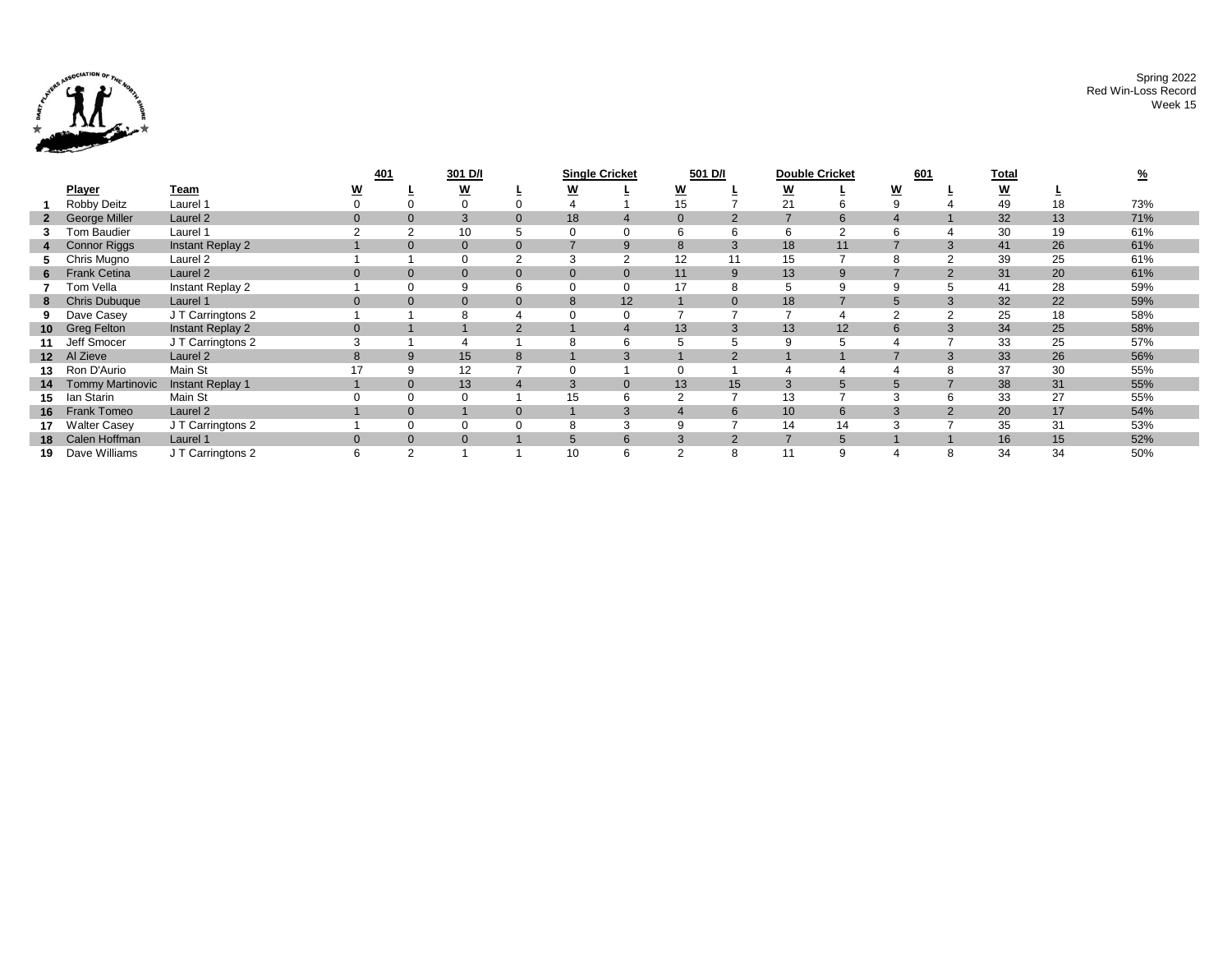

|                 |                         |                     | <u>401</u> |                | 301 D/I |              | <b>Single Cricket</b> |                | 501 D/I        |          | <b>Double Cricket</b> |                | 601 |          | <u>Total</u>             |    |     |
|-----------------|-------------------------|---------------------|------------|----------------|---------|--------------|-----------------------|----------------|----------------|----------|-----------------------|----------------|-----|----------|--------------------------|----|-----|
|                 | <b>Player</b>           | Team                |            |                | W       |              | W                     |                | <u>w</u>       |          | <u>w</u>              |                | W   |          | $\underline{\mathsf{w}}$ |    |     |
|                 | Robby Deitz             | Laurel 1            |            |                |         |              |                       |                | 15             |          | 21                    |                |     |          | 49                       | 18 | 73% |
| $\mathbf{2}$    | <b>George Miller</b>    | Laurel <sub>2</sub> | $\Omega$   | $\mathbf 0$    | 3       |              | 18                    | $\overline{4}$ | $\mathbf{0}$   |          |                       | 6              |     |          | 32                       | 13 | 71% |
|                 | Tom Baudier             | Laurel 1            |            | $\overline{2}$ | 10      |              |                       | 0              | b              | 6        | 6                     | $\sim$         | 6   |          | 30                       | 19 | 61% |
|                 | <b>Connor Riggs</b>     | Instant Replay 2    |            | $\mathbf 0$    | 0       |              |                       | 9              | 8              |          | 18                    | 11             |     |          | 41                       | 26 | 61% |
|                 | Chris Mugno             | Laurel <sub>2</sub> |            |                |         |              |                       | $\overline{2}$ | 12             |          | 15                    |                | 8   |          | 39                       | 25 | 61% |
| 6               | <b>Frank Cetina</b>     | Laurel <sub>2</sub> | $\Omega$   | $\mathbf{0}$   | 0       |              | $\mathbf{0}$          | $\mathbf{0}$   | 11             | 9        | 13                    | 9              |     | 2        | 31                       | 20 | 61% |
|                 | Tom Vella               | Instant Replay 2    |            | 0              | 9       | 6            |                       | $\mathbf 0$    | 17             | 8        | 5                     | 9              | 9   |          | 41                       | 28 | 59% |
| 8               | <b>Chris Dubuque</b>    | Laurel 1            | $\Omega$   | $\mathbf 0$    | 0       | $\Omega$     | 8                     | 12             |                | $\Omega$ | 18                    |                | 5   | 3        | 32                       | 22 | 59% |
|                 | Dave Casey              | J T Carringtons 2   |            |                |         |              |                       | $\mathbf 0$    |                |          |                       |                |     |          | 25                       | 18 | 58% |
| 10 <sup>1</sup> | <b>Greg Felton</b>      | Instant Replay 2    | $\Omega$   |                |         | 2            |                       | $\overline{4}$ | 13             |          | 13                    | 12             | 6   | 3        | 34                       | 25 | 58% |
|                 | Jeff Smocer             | J T Carringtons 2   |            |                |         |              |                       | 6              |                |          | -9                    |                |     |          | 33                       | 25 | 57% |
| 12 <sup>1</sup> | Al Zieve                | Laurel <sub>2</sub> | 8          | 9              | 15      | 8            |                       | 3              |                |          |                       |                |     | $\Omega$ | 33                       | 26 | 56% |
| 13              | Ron D'Aurio             | Main St             |            | 9              | 12      |              |                       |                | 0              |          |                       |                |     |          | 37                       | 30 | 55% |
| 14              | <b>Tommy Martinovic</b> | Instant Replay 1    |            | $\mathbf{0}$   | 13      |              | 3                     | $\mathbf{0}$   | 13             | 15       | 3                     | $\overline{5}$ | 5   |          | 38                       | 31 | 55% |
| 15              | lan Starin              | Main St             |            | $\Omega$       |         |              | 15                    | 6              | 2              |          | 13                    |                | 3   |          | 33                       | 27 | 55% |
| 16              | Frank Tomeo             | Laurel 2            |            | $\mathbf{0}$   |         | $\mathbf{0}$ |                       | 3              |                | 6        | 10                    | 6              | 3   |          | 20                       | 17 | 54% |
| 17              | <b>Walter Casey</b>     | J T Carringtons 2   |            | 0              |         |              |                       | 3              | 9              |          | 14                    | 14             | 3   |          | 35                       | 31 | 53% |
| 18              | Calen Hoffman           | Laurel 1            | $\Omega$   | $\mathbf{0}$   |         |              |                       | 6              |                |          |                       | 5              |     |          | 16                       | 15 | 52% |
| 19              | Dave Williams           | J T Carringtons 2   | 6          | $\overline{2}$ |         |              | 10                    | 6              | $\overline{2}$ | 8        | 11                    | $\mathbf{Q}$   | 4   |          | 34                       | 34 | 50% |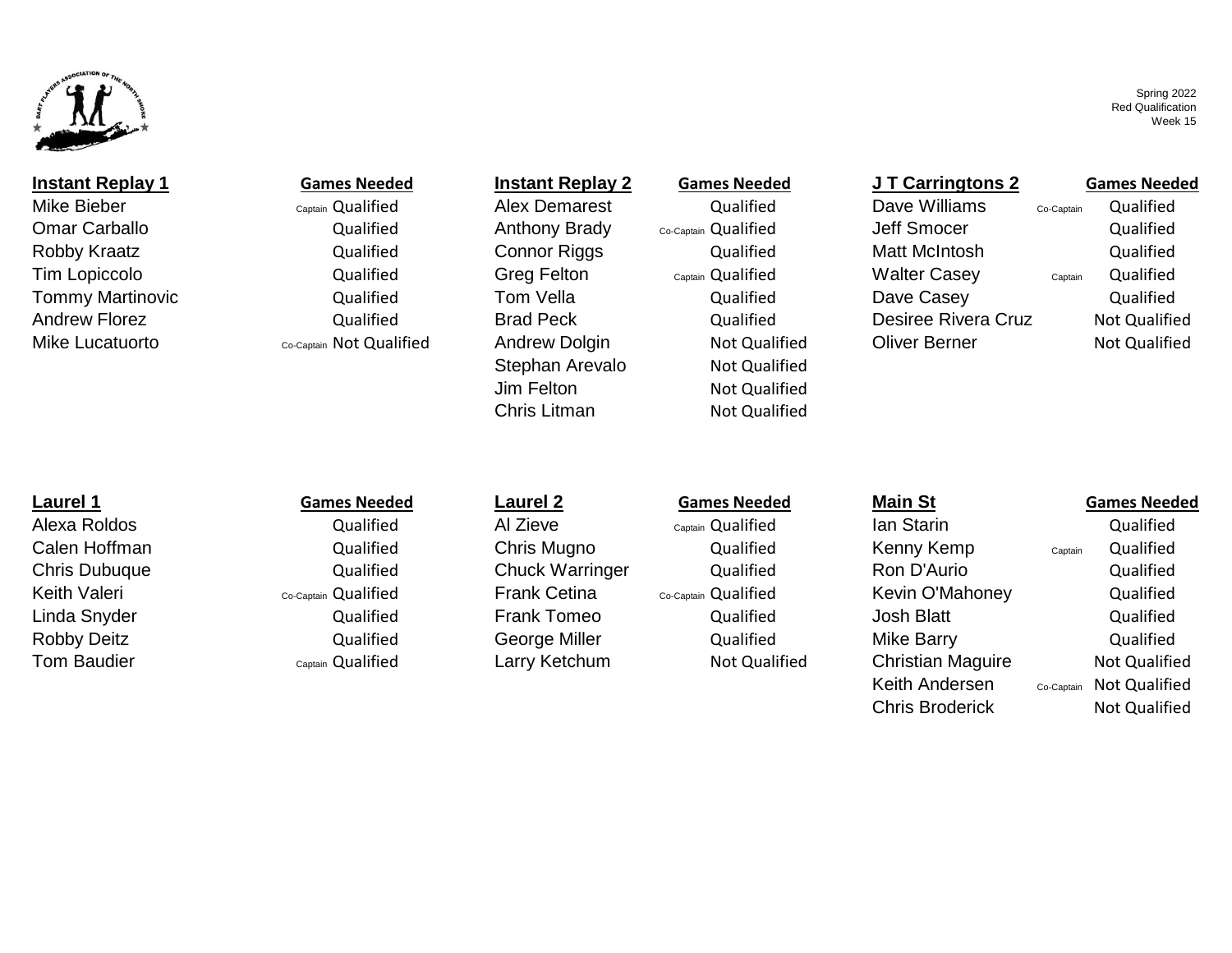

## **Instant Replay 1 Games Needed Instant Replay 2 Games Needed J T Carringtons 2 Games Needed**

Mike Bieber **Mike Bieber** Alex Demarest Qualified Alex Demarest Alex Demarest Alex Dualified Dave Williams Co-Captain Qualified Omar Carballo **Carballo** Cualified Anthony Brady <sub>Co-Captain</sub> Qualified Jeff Smocer Qualified Tommy Martinovic Qualified Tom Vella Qualified Dave Casey Qualified

Robby Kraatz **Cannov Connor Riggs** Connor Riggs Cualified Matt McIntosh Qualified Tim Lopiccolo Qualified Greg Felton Captain Qualified Walter Casey Captain Qualified Andrew Florez **Auch Constructs Cualified** Brad Peck **Constructs Constructs Constructs Cruz** Not Qualified Mike Lucatuorto **Co-Captain Not Qualified** Andrew Dolgin Not Qualified Oliver Berner Not Qualified Not Qualified

Stephan Arevalo Not Qualified Jim Felton Not Qualified Chris Litman Not Qualified

Alexa Roldos Qualified Al Zieve Captain Qualified Ian Starin Qualified Calen Hoffman Qualified Chris Mugno Qualified Kenny Kemp captain Qualified Chris Dubuque Qualified Chuck Warringer Qualified Ron D'Aurio Qualified Keith Valeri Co-Captain Qualified Frank Cetina Co-Captain Qualified Kevin O'Mahoney Qualified Linda Snyder **Gott Constructs Constructs Cualified** Frank Tomeo **Gualified** Qualified Josh Blatt Allen Cualified Robby Deitz **Canadic Constructs Constructs Ceorge Miller** Mualified Mike Barry and Qualified Tom Baudier Captain Qualified Larry Ketchum Not Qualified Christian Maguire Not Qualified

Keith Andersen Co-Captain Not Qualified

# **Laurel 1 Games Needed Laurel 2 Games Needed Main St Games Needed**

Chris Broderick Not Qualified

Spring 2022 Red Qualification Week 15